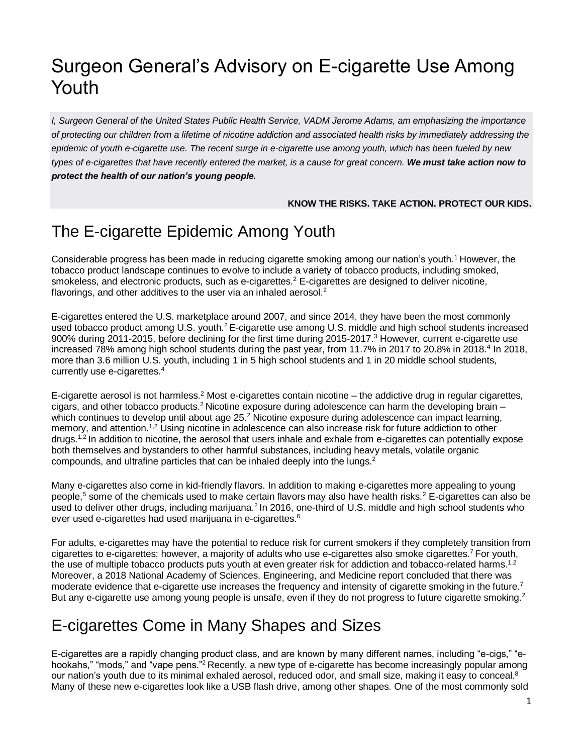# Surgeon General's Advisory on E-cigarette Use Among Youth

*I, Surgeon General of the United States Public Health Service, VADM Jerome Adams, am emphasizing the importance of protecting our children from a lifetime of nicotine addiction and associated health risks by immediately addressing the epidemic of youth e-cigarette use. The recent surge in e-cigarette use among youth, which has been fueled by new types of e-cigarettes that have recently entered the market, is a cause for great concern. We must take action now to protect the health of our nation's young people.* 

#### **KNOW THE RISKS. TAKE ACTION. PROTECT OUR KIDS.**

### The E-cigarette Epidemic Among Youth

Considerable progress has been made in reducing cigarette smoking among our nation's youth.<sup>1</sup> However, the tobacco product landscape continues to evolve to include a variety of tobacco products, including smoked, smokeless, and electronic products, such as e-cigarettes.<sup>2</sup> E-cigarettes are designed to deliver nicotine, flavorings, and other additives to the user via an inhaled aerosol.<sup>2</sup>

E-cigarettes entered the U.S. marketplace around 2007, and since 2014, they have been the most commonly used tobacco product among U.S. youth.<sup>2</sup> E-cigarette use among U.S. middle and high school students increased 900% during 2011-2015, before declining for the first time during 2015-2017.<sup>3</sup> However, current e-cigarette use increased 78% among high school students during the past year, from 11.7% in 2017 to 20.8% in 2018.<sup>4</sup> In 2018, more than 3.6 million U.S. youth, including 1 in 5 high school students and 1 in 20 middle school students, currently use e-cigarettes.<sup>4</sup>

E-cigarette aerosol is not harmless.<sup>2</sup> Most e-cigarettes contain nicotine – the addictive drug in regular cigarettes, cigars, and other tobacco products.<sup>2</sup> Nicotine exposure during adolescence can harm the developing brain  $$ which continues to develop until about age 25.<sup>2</sup> Nicotine exposure during adolescence can impact learning, memory, and attention.<sup>1,2</sup> Using nicotine in adolescence can also increase risk for future addiction to other drugs.<sup>1,2</sup> In addition to nicotine, the aerosol that users inhale and exhale from e-cigarettes can potentially expose both themselves and bystanders to other harmful substances, including heavy metals, volatile organic compounds, and ultrafine particles that can be inhaled deeply into the lungs.<sup>2</sup>

Many e-cigarettes also come in kid-friendly flavors. In addition to making e-cigarettes more appealing to young people,<sup>5</sup> some of the chemicals used to make certain flavors may also have health risks.<sup>2</sup> E-cigarettes can also be used to deliver other drugs, including marijuana.<sup>2</sup> In 2016, one-third of U.S. middle and high school students who ever used e-cigarettes had used marijuana in e-cigarettes.<sup>6</sup>

For adults, e-cigarettes may have the potential to reduce risk for current smokers if they completely transition from cigarettes to e-cigarettes; however, a majority of adults who use e-cigarettes also smoke cigarettes.<sup>7</sup> For youth, the use of multiple tobacco products puts youth at even greater risk for addiction and tobacco-related harms.<sup>1,2</sup> Moreover, a 2018 National Academy of Sciences, Engineering, and Medicine report concluded that there was moderate evidence that e-cigarette use increases the frequency and intensity of cigarette smoking in the future.<sup>7</sup> But any e-cigarette use among young people is unsafe, even if they do not progress to future cigarette smoking.<sup>2</sup>

### E-cigarettes Come in Many Shapes and Sizes

E-cigarettes are a rapidly changing product class, and are known by many different names, including "e-cigs," "ehookahs," "mods," and "vape pens."<sup>2</sup> Recently, a new type of e-cigarette has become increasingly popular among our nation's youth due to its minimal exhaled aerosol, reduced odor, and small size, making it easy to conceal.<sup>8</sup> Many of these new e-cigarettes look like a USB flash drive, among other shapes. One of the most commonly sold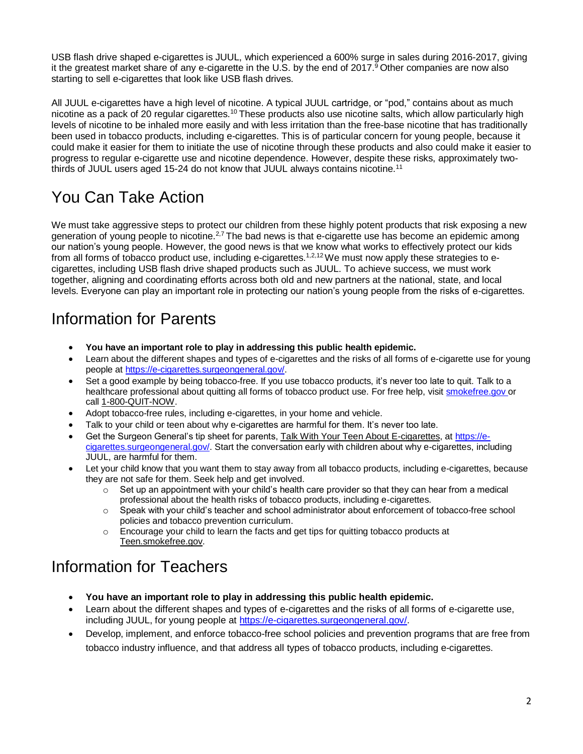USB flash drive shaped e-cigarettes is JUUL, which experienced a 600% surge in sales during 2016-2017, giving it the greatest market share of any e-cigarette in the U.S. by the end of 2017.<sup>9</sup> Other companies are now also starting to sell e-cigarettes that look like USB flash drives.

All JUUL e-cigarettes have a high level of nicotine. A typical JUUL cartridge, or "pod," contains about as much nicotine as a pack of 20 regular cigarettes.<sup>10</sup> These products also use nicotine salts, which allow particularly high levels of nicotine to be inhaled more easily and with less irritation than the free-base nicotine that has traditionally been used in tobacco products, including e-cigarettes. This is of particular concern for young people, because it could make it easier for them to initiate the use of nicotine through these products and also could make it easier to progress to regular e-cigarette use and nicotine dependence. However, despite these risks, approximately twothirds of JUUL users aged 15-24 do not know that JUUL always contains nicotine.<sup>11</sup>

### You Can Take Action

We must take aggressive steps to protect our children from these highly potent products that risk exposing a new generation of young people to nicotine.<sup>2,7</sup> The bad news is that e-cigarette use has become an epidemic among our nation's young people. However, the good news is that we know what works to effectively protect our kids from all forms of tobacco product use, including e-cigarettes.<sup>1,2,12</sup>We must now apply these strategies to ecigarettes, including USB flash drive shaped products such as JUUL. To achieve success, we must work together, aligning and coordinating efforts across both old and new partners at the national, state, and local levels. Everyone can play an important role in protecting our nation's young people from the risks of e-cigarettes.

#### Information for Parents

- **You have an important role to play in addressing this public health epidemic.**
- Learn about the different shapes and types of e-cigarettes and the risks of all forms of e-cigarette use for young people at [https://e-cigarettes.surgeongeneral.gov/.](https://e-cigarettes.surgeongeneral.gov/)
- Set a good example by being tobacco-free. If you use tobacco products, it's never too late to quit. Talk to a healthcare professional about quitting all forms of tobacco product use. For free help, visit [smokefree.gov o](http://www.smokefree.gov/)r call [1-800-QUIT-NOW.](tel:1-800-784-8669)
- Adopt tobacco-free rules, including e-cigarettes, in your home and vehicle.
- Talk to your child or teen about why e-cigarettes are harmful for them. It's never too late.
- Get the Surgeon General's tip sheet for parents, [Talk With Your Teen About E-cigarettes,](https://e-cigarettes.surgeongeneral.gov/documents/SGR_ECig_ParentTipSheet_508.pdf) at [https://e](https://e-cigarettes.surgeongeneral.gov/)[cigarettes.surgeongeneral.gov/.](https://e-cigarettes.surgeongeneral.gov/) Start the conversation early with children about why e-cigarettes, including JUUL, are harmful for them.
- Let your child know that you want them to stay away from all tobacco products, including e-cigarettes, because they are not safe for them. Seek help and get involved.
	- $\circ$  Set up an appointment with your child's health care provider so that they can hear from a medical professional about the health risks of tobacco products, including e-cigarettes.
	- o Speak with your child's teacher and school administrator about enforcement of tobacco-free school policies and tobacco prevention curriculum.
	- $\circ$  Encourage your child to learn the facts and get tips for quitting tobacco products at [Teen.smokefree.gov.](https://teen.smokefree.gov/)

#### Information for Teachers

- **You have an important role to play in addressing this public health epidemic.**
- Learn about the different shapes and types of e-cigarettes and the risks of all forms of e-cigarette use, including JUUL, for young people at [https://e-cigarettes.surgeongeneral.gov/.](https://e-cigarettes.surgeongeneral.gov/)
- Develop, implement, and enforce tobacco-free school policies and prevention programs that are free from tobacco industry influence, and that address all types of tobacco products, including e-cigarettes.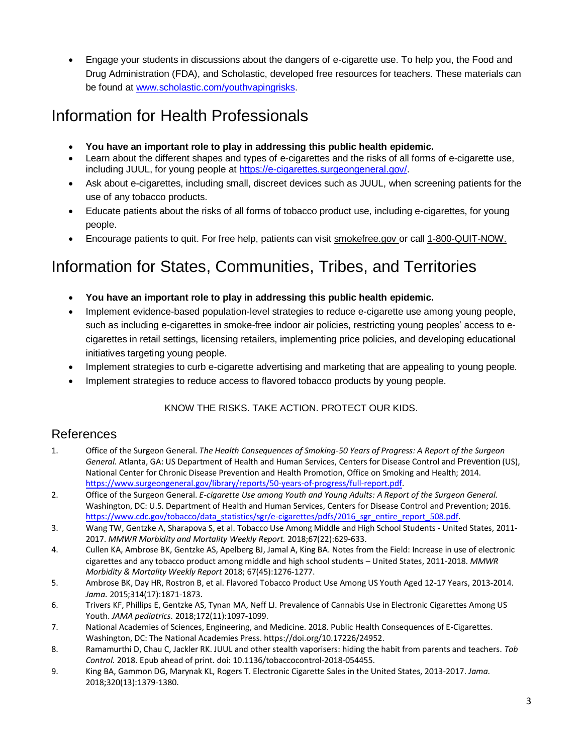Engage your students in discussions about the dangers of e-cigarette use. To help you, the Food and Drug Administration (FDA), and Scholastic, developed free resources for teachers. These materials can be found at [www.scholastic.com/youthvapingrisks](http://www.scholastic.com/youthvapingrisks).

#### Information for Health Professionals

- **You have an important role to play in addressing this public health epidemic.**
- Learn about the different shapes and types of e-cigarettes and the risks of all forms of e-cigarette use, including JUUL, for young people at [https://e-cigarettes.surgeongeneral.gov/.](https://e-cigarettes.surgeongeneral.gov/)
- Ask about e-cigarettes, including small, discreet devices such as JUUL, when screening patients for the use of any tobacco products.
- Educate patients about the risks of all forms of tobacco product use, including e-cigarettes, for young people.
- Encourage patients to quit. For free help, patients can visi[t smokefree.gov](https://www.smokefree.gov/) or call [1-800-QUIT-NOW.](tel:1-800-784-8669)

## Information for States, Communities, Tribes, and Territories

- **You have an important role to play in addressing this public health epidemic.**
- Implement evidence-based population-level strategies to reduce e-cigarette use among young people, such as including e-cigarettes in smoke-free indoor air policies, restricting young peoples' access to ecigarettes in retail settings, licensing retailers, implementing price policies, and developing educational initiatives targeting young people.
- Implement strategies to curb e-cigarette advertising and marketing that are appealing to young people.
- Implement strategies to reduce access to flavored tobacco products by young people.

#### KNOW THE RISKS. TAKE ACTION. PROTECT OUR KIDS.

#### References

- 1. Office of the Surgeon General. *The Health Consequences of Smoking-50 Years of Progress: A Report of the Surgeon General.* Atlanta, GA: US Department of Health and Human Services, Centers for Disease Control and Prevention (US), National Center for Chronic Disease Prevention and Health Promotion, Office on Smoking and Health; 2014. [https://www.surgeongeneral.gov/library/reports/50-years-of-progress/full-report.pdf.](https://www.surgeongeneral.gov/library/reports/50-years-of-progress/full-report.pdf)
- 2. Office of the Surgeon General. *E-cigarette Use among Youth and Young Adults: A Report of the Surgeon General.* Washington, DC: U.S. Department of Health and Human Services, Centers for Disease Control and Prevention; 2016. [https://www.cdc.gov/tobacco/data\\_statistics/sgr/e-cigarettes/pdfs/2016\\_sgr\\_entire\\_report\\_508.pdf.](https://www.cdc.gov/tobacco/data_statistics/sgr/e-cigarettes/pdfs/2016_sgr_entire_report_508.pdf)
- 3. Wang TW, Gentzke A, Sharapova S, et al. Tobacco Use Among Middle and High School Students United States, 2011- 2017. *MMWR Morbidity and Mortality Weekly Report.* 2018;67(22):629-633.
- 4. Cullen KA, Ambrose BK, Gentzke AS, Apelberg BJ, Jamal A, King BA. Notes from the Field: Increase in use of electronic cigarettes and any tobacco product among middle and high school students – United States, 2011-2018. *MMWR Morbidity & Mortality Weekly Report* 2018; 67(45):1276-1277.
- 5. Ambrose BK, Day HR, Rostron B, et al. Flavored Tobacco Product Use Among US Youth Aged 12-17 Years, 2013-2014. *Jama.* 2015;314(17):1871-1873.
- 6. Trivers KF, Phillips E, Gentzke AS, Tynan MA, Neff LJ. Prevalence of Cannabis Use in Electronic Cigarettes Among US Youth. *JAMA pediatrics.* 2018;172(11):1097-1099.
- 7. National Academies of Sciences, Engineering, and Medicine. 2018. Public Health Consequences of E-Cigarettes. Washington, DC: The National Academies Press. https://doi.org/10.17226/24952.
- 8. Ramamurthi D, Chau C, Jackler RK. JUUL and other stealth vaporisers: hiding the habit from parents and teachers. *Tob Control.* 2018. Epub ahead of print. doi: 10.1136/tobaccocontrol-2018-054455.
- 9. King BA, Gammon DG, Marynak KL, Rogers T. Electronic Cigarette Sales in the United States, 2013-2017. *Jama.*  2018;320(13):1379-1380.